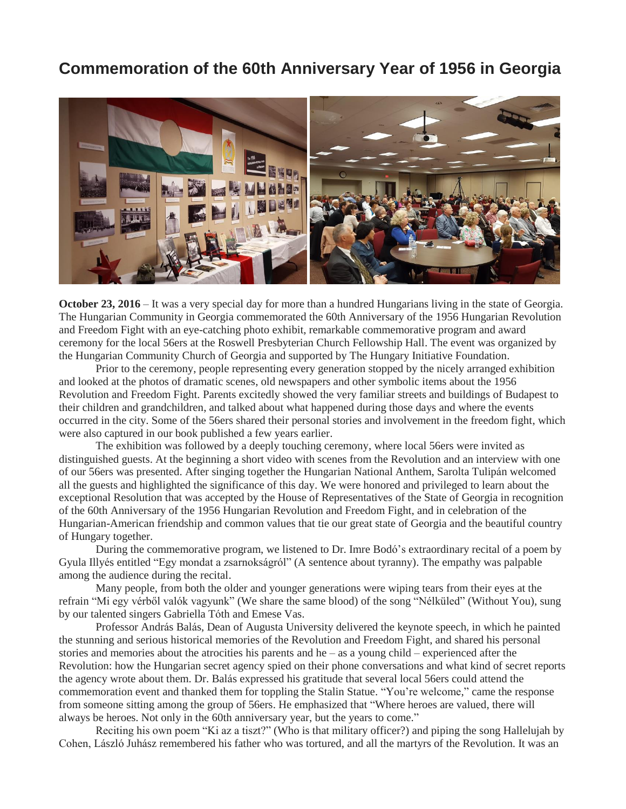## **Commemoration of the 60th Anniversary Year of 1956 in Georgia**



**October 23, 2016** – It was a very special day for more than a hundred Hungarians living in the state of Georgia. The Hungarian Community in Georgia commemorated the 60th Anniversary of the 1956 Hungarian Revolution and Freedom Fight with an eye-catching photo exhibit, remarkable commemorative program and award ceremony for the local 56ers at the Roswell Presbyterian Church Fellowship Hall. The event was organized by the Hungarian Community Church of Georgia and supported by The Hungary Initiative Foundation.

Prior to the ceremony, people representing every generation stopped by the nicely arranged exhibition and looked at the photos of dramatic scenes, old newspapers and other symbolic items about the 1956 Revolution and Freedom Fight. Parents excitedly showed the very familiar streets and buildings of Budapest to their children and grandchildren, and talked about what happened during those days and where the events occurred in the city. Some of the 56ers shared their personal stories and involvement in the freedom fight, which were also captured in our book published a few years earlier.

The exhibition was followed by a deeply touching ceremony, where local 56ers were invited as distinguished guests. At the beginning a short video with scenes from the Revolution and an interview with one of our 56ers was presented. After singing together the Hungarian National Anthem, Sarolta Tulipán welcomed all the guests and highlighted the significance of this day. We were honored and privileged to learn about the exceptional Resolution that was accepted by the House of Representatives of the State of Georgia in recognition of the 60th Anniversary of the 1956 Hungarian Revolution and Freedom Fight, and in celebration of the Hungarian-American friendship and common values that tie our great state of Georgia and the beautiful country of Hungary together.

During the commemorative program, we listened to Dr. Imre Bodó's extraordinary recital of a poem by Gyula Illyés entitled "Egy mondat a zsarnokságról" (A sentence about tyranny). The empathy was palpable among the audience during the recital.

Many people, from both the older and younger generations were wiping tears from their eyes at the refrain "Mi egy vérből valók vagyunk" (We share the same blood) of the song "Nélküled" (Without You), sung by our talented singers Gabriella Tóth and Emese Vas.

Professor András Balás, Dean of Augusta University delivered the keynote speech, in which he painted the stunning and serious historical memories of the Revolution and Freedom Fight, and shared his personal stories and memories about the atrocities his parents and he – as a young child – experienced after the Revolution: how the Hungarian secret agency spied on their phone conversations and what kind of secret reports the agency wrote about them. Dr. Balás expressed his gratitude that several local 56ers could attend the commemoration event and thanked them for toppling the Stalin Statue. "You're welcome," came the response from someone sitting among the group of 56ers. He emphasized that "Where heroes are valued, there will always be heroes. Not only in the 60th anniversary year, but the years to come."

Reciting his own poem "Ki az a tiszt?" (Who is that military officer?) and piping the song Hallelujah by Cohen, László Juhász remembered his father who was tortured, and all the martyrs of the Revolution. It was an